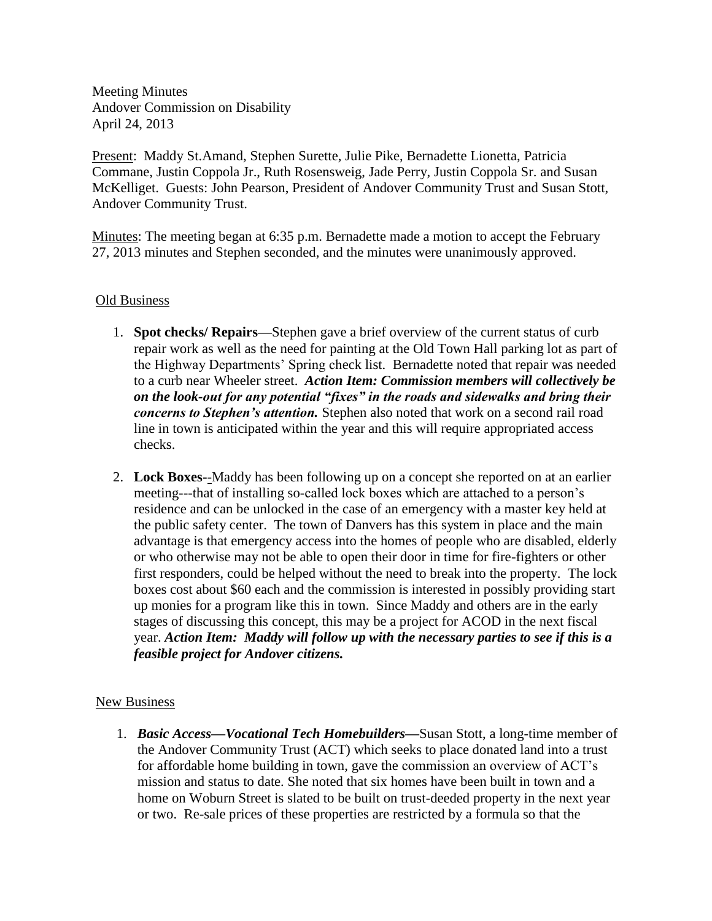Meeting Minutes Andover Commission on Disability April 24, 2013

Present: Maddy St.Amand, Stephen Surette, Julie Pike, Bernadette Lionetta, Patricia Commane, Justin Coppola Jr., Ruth Rosensweig, Jade Perry, Justin Coppola Sr. and Susan McKelliget. Guests: John Pearson, President of Andover Community Trust and Susan Stott, Andover Community Trust.

Minutes: The meeting began at 6:35 p.m. Bernadette made a motion to accept the February 27, 2013 minutes and Stephen seconded, and the minutes were unanimously approved.

## Old Business

- 1. **Spot checks/ Repairs—**Stephen gave a brief overview of the current status of curb repair work as well as the need for painting at the Old Town Hall parking lot as part of the Highway Departments' Spring check list. Bernadette noted that repair was needed to a curb near Wheeler street. *Action Item: Commission members will collectively be on the look-out for any potential "fixes" in the roads and sidewalks and bring their concerns to Stephen's attention.* Stephen also noted that work on a second rail road line in town is anticipated within the year and this will require appropriated access checks.
- 2. **Lock Boxes-**-Maddy has been following up on a concept she reported on at an earlier meeting---that of installing so-called lock boxes which are attached to a person's residence and can be unlocked in the case of an emergency with a master key held at the public safety center. The town of Danvers has this system in place and the main advantage is that emergency access into the homes of people who are disabled, elderly or who otherwise may not be able to open their door in time for fire-fighters or other first responders, could be helped without the need to break into the property. The lock boxes cost about \$60 each and the commission is interested in possibly providing start up monies for a program like this in town. Since Maddy and others are in the early stages of discussing this concept, this may be a project for ACOD in the next fiscal year. *Action Item: Maddy will follow up with the necessary parties to see if this is a feasible project for Andover citizens.*

## New Business

1. *Basic Access—Vocational Tech Homebuilders—*Susan Stott, a long-time member of the Andover Community Trust (ACT) which seeks to place donated land into a trust for affordable home building in town, gave the commission an overview of ACT's mission and status to date. She noted that six homes have been built in town and a home on Woburn Street is slated to be built on trust-deeded property in the next year or two. Re-sale prices of these properties are restricted by a formula so that the